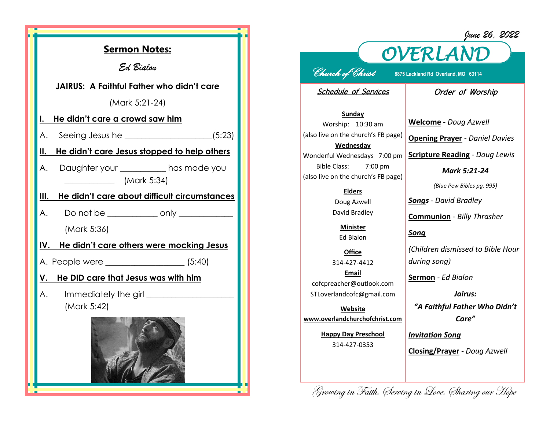*June 26, 2022*



## *OVERLAND Church of Christ* **8875 Lackland Rd Overland, MO 63114**

Schedule of Services

## Order of Worship

**Sunday** Worship: 10:30 am (also live on the church's FB page) **Wednesday** Wonderful Wednesdays 7:00 pm Bible Class: 7:00 pm (also live on the church's FB page)

> **Elders** Doug Azwell David Bradley

**Minister** Ed Bialon

**Office** 314-427-4412 **Email** cofcpreacher@outlook.com STLoverlandcofc@gmail.com

**Website www.overlandchurchofchrist.com**

> **Happy Day Preschool** 314-427-0353

**Welcome** *- Doug Azwell* **Opening Prayer** *- Daniel Davies*

**Scripture Reading** *- Doug Lewis* 

*Mark 5:21-24*

*(Blue Pew Bibles pg. 995)*

*Songs - David Bradley*

**Communion** *- Billy Thrasher*

*Song*

*(Children dismissed to Bible Hour during song)*

**Sermon** *- Ed Bialon* 

*Jairus: "A Faithful Father Who Didn't Care"*

*Invitation Song*

**Closing/Prayer** *- Doug Azwell*

Growing in Faith, Serving in Love, Sharing our Hope